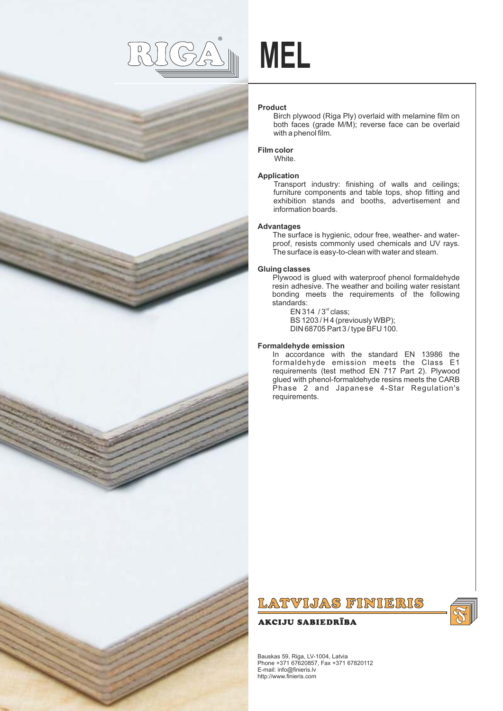

# **MEL**

## **Product**

Birch plywood (Riga Ply) overlaid with melamine film on both faces (grade M/M); reverse face can be overlaid with a phenol film.

**Film color** 

White.

## **Application**

Transport industry: finishing of walls and ceilings; furniture components and table tops, shop fitting and exhibition stands and booths, advertisement and information boards.

## **Advantages**

The surface is hygienic, odour free, weather- and waterproof, resists commonly used chemicals and UV rays. The surface is easy-to-clean with water and steam.

## **Gluing classes**

Plywood is glued with waterproof phenol formaldehyde resin adhesive. The weather and boiling water resistant bonding meets the requirements of the following standards:

EN 314  $/3<sup>rd</sup>$  class; BS 1203 / H 4 (previously WBP); DIN 68705 Part 3 / type BFU 100.

## **Formaldehyde emission**

In accordance with the standard EN 13986 the formaldehyde emission meets the Class E1 requirements (test method EN 717 Part 2). Plywood glued with phenol-formaldehyde resins meets the CARB Phase 2 and Japanese 4-Star Regulation's requirements.

## LATVIJAS FINIERIS

## **AKCIJU SABIEDRĪBA**

Bauskas 59, Riga, LV-1004, Latvia Phone +371 67620857, Fax +371 67820112 E-mail: info@finieris.lv http://www.finieris.com